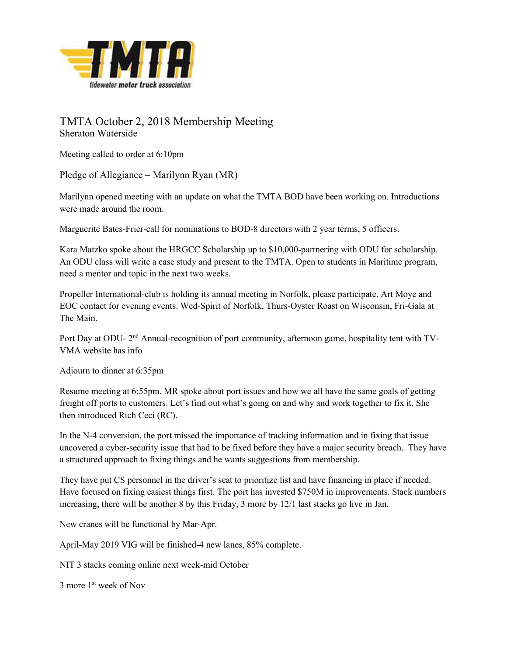

## TMTA October 2, 2018 Membership Meeting Sheraton Waterside

Meeting called to order at 6:10pm

Pledge of Allegiance – Marilynn Ryan (MR)

Marilynn opened meeting with an update on what the TMTA BOD have been working on. Introductions were made around the room.

Marguerite Bates-Frier-call for nominations to BOD-8 directors with 2 year terms, 5 officers.

Kara Matzko spoke about the HRGCC Scholarship up to \$10,000-partnering with ODU for scholarship. An ODU class will write a case study and present to the TMTA. Open to students in Maritime program, need a mentor and topic in the next two weeks.

Propeller International-club is holding its annual meeting in Norfolk, please participate. Art Moye and EOC contact for evening events. Wed-Spirit of Norfolk, Thurs-Oyster Roast on Wisconsin, Fri-Gala at The Main.

Port Day at ODU- 2<sup>nd</sup> Annual-recognition of port community, afternoon game, hospitality tent with TV-VMA website has info

Adjourn to dinner at 6:35pm

Resume meeting at 6:55pm. MR spoke about port issues and how we all have the same goals of getting freight off ports to customers. Let's find out what's going on and why and work together to fix it. She then introduced Rich Ceci (RC).

In the N-4 conversion, the port missed the importance of tracking information and in fixing that issue uncovered a cyber-security issue that had to be fixed before they have a major security breach. They have a structured approach to fixing things and he wants suggestions from membership.

They have put CS personnel in the driver's seat to prioritize list and have financing in place if needed. Have focused on fixing easiest things first. The port has invested \$750M in improvements. Stack numbers increasing, there will be another 8 by this Friday, 3 more by 12/1 last stacks go live in Jan.

New cranes will be functional by Mar-Apr.

April-May 2019 VIG will be finished-4 new lanes, 85% complete.

NIT 3 stacks coming online next week-mid October

3 more 1st week of Nov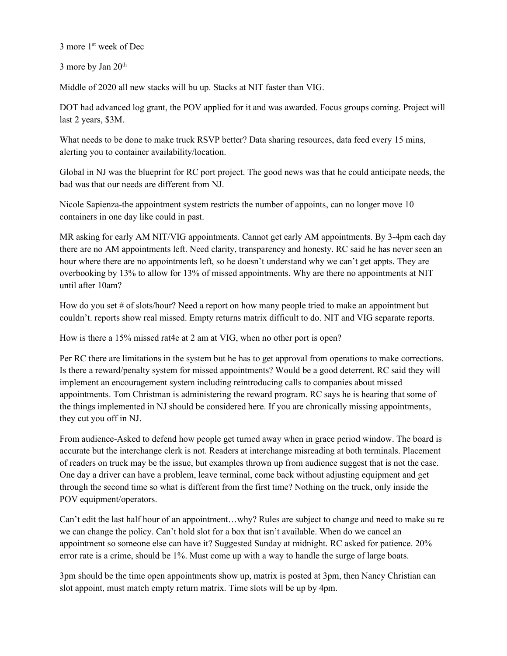3 more 1st week of Dec

3 more by Jan  $20<sup>th</sup>$ 

Middle of 2020 all new stacks will bu up. Stacks at NIT faster than VIG.

DOT had advanced log grant, the POV applied for it and was awarded. Focus groups coming. Project will last 2 years, \$3M.

What needs to be done to make truck RSVP better? Data sharing resources, data feed every 15 mins, alerting you to container availability/location.

Global in NJ was the blueprint for RC port project. The good news was that he could anticipate needs, the bad was that our needs are different from NJ.

Nicole Sapienza-the appointment system restricts the number of appoints, can no longer move 10 containers in one day like could in past.

MR asking for early AM NIT/VIG appointments. Cannot get early AM appointments. By 3-4pm each day there are no AM appointments left. Need clarity, transparency and honesty. RC said he has never seen an hour where there are no appointments left, so he doesn't understand why we can't get appts. They are overbooking by 13% to allow for 13% of missed appointments. Why are there no appointments at NIT until after 10am?

How do you set # of slots/hour? Need a report on how many people tried to make an appointment but couldn't. reports show real missed. Empty returns matrix difficult to do. NIT and VIG separate reports.

How is there a 15% missed rat4e at 2 am at VIG, when no other port is open?

Per RC there are limitations in the system but he has to get approval from operations to make corrections. Is there a reward/penalty system for missed appointments? Would be a good deterrent. RC said they will implement an encouragement system including reintroducing calls to companies about missed appointments. Tom Christman is administering the reward program. RC says he is hearing that some of the things implemented in NJ should be considered here. If you are chronically missing appointments, they cut you off in NJ.

From audience-Asked to defend how people get turned away when in grace period window. The board is accurate but the interchange clerk is not. Readers at interchange misreading at both terminals. Placement of readers on truck may be the issue, but examples thrown up from audience suggest that is not the case. One day a driver can have a problem, leave terminal, come back without adjusting equipment and get through the second time so what is different from the first time? Nothing on the truck, only inside the POV equipment/operators.

Can't edit the last half hour of an appointment…why? Rules are subject to change and need to make su re we can change the policy. Can't hold slot for a box that isn't available. When do we cancel an appointment so someone else can have it? Suggested Sunday at midnight. RC asked for patience. 20% error rate is a crime, should be 1%. Must come up with a way to handle the surge of large boats.

3pm should be the time open appointments show up, matrix is posted at 3pm, then Nancy Christian can slot appoint, must match empty return matrix. Time slots will be up by 4pm.